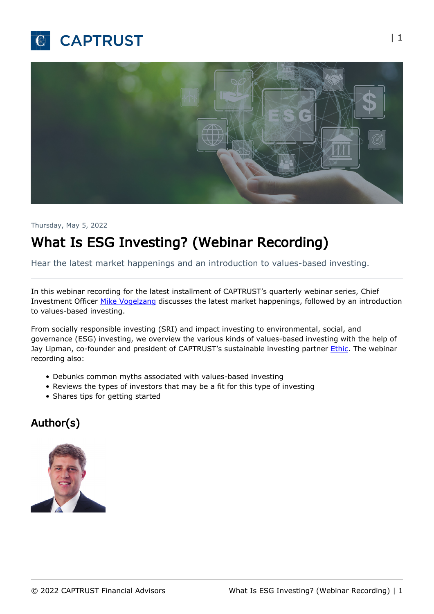



#### Thursday, May 5, 2022

# What Is ESG Investing? (Webinar Recording)

Hear the latest market happenings and an introduction to values-based investing.

In this webinar recording for the latest installment of CAPTRUST's quarterly webinar series, Chief Investment Officer [Mike Vogelzang](https://www.captrust.com/people/michael-j-vogelzang-cfa/) discusses the latest market happenings, followed by an introduction to values-based investing.

From socially responsible investing (SRI) and impact investing to environmental, social, and governance (ESG) investing, we overview the various kinds of values-based investing with the help of Jay Lipman, co-founder and president of CAPTRUST's sustainable investing partner *Ethic*. The webinar recording also:

- Debunks common myths associated with values-based investing
- Reviews the types of investors that may be a fit for this type of investing
- Shares tips for getting started

#### Author(s)